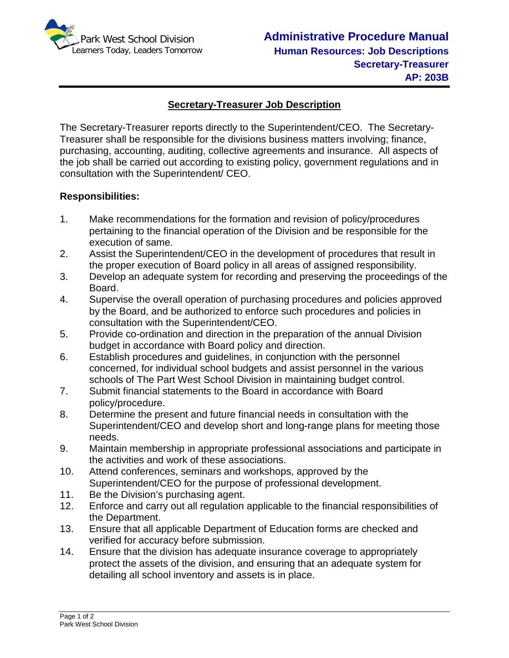

## **Secretary-Treasurer Job Description**

The Secretary-Treasurer reports directly to the Superintendent/CEO. The Secretary-Treasurer shall be responsible for the divisions business matters involving; finance, purchasing, accounting, auditing, collective agreements and insurance. All aspects of the job shall be carried out according to existing policy, government regulations and in consultation with the Superintendent/ CEO.

## **Responsibilities:**

- 1. Make recommendations for the formation and revision of policy/procedures pertaining to the financial operation of the Division and be responsible for the execution of same.
- 2. Assist the Superintendent/CEO in the development of procedures that result in the proper execution of Board policy in all areas of assigned responsibility.
- 3. Develop an adequate system for recording and preserving the proceedings of the Board.
- 4. Supervise the overall operation of purchasing procedures and policies approved by the Board, and be authorized to enforce such procedures and policies in consultation with the Superintendent/CEO.
- 5. Provide co-ordination and direction in the preparation of the annual Division budget in accordance with Board policy and direction.
- 6. Establish procedures and guidelines, in conjunction with the personnel concerned, for individual school budgets and assist personnel in the various schools of The Part West School Division in maintaining budget control.
- 7. Submit financial statements to the Board in accordance with Board policy/procedure.
- 8. Determine the present and future financial needs in consultation with the Superintendent/CEO and develop short and long-range plans for meeting those needs.
- 9. Maintain membership in appropriate professional associations and participate in the activities and work of these associations.
- 10. Attend conferences, seminars and workshops, approved by the Superintendent/CEO for the purpose of professional development.
- 11. Be the Division's purchasing agent.
- 12. Enforce and carry out all regulation applicable to the financial responsibilities of the Department.
- 13. Ensure that all applicable Department of Education forms are checked and verified for accuracy before submission.
- 14. Ensure that the division has adequate insurance coverage to appropriately protect the assets of the division, and ensuring that an adequate system for detailing all school inventory and assets is in place.